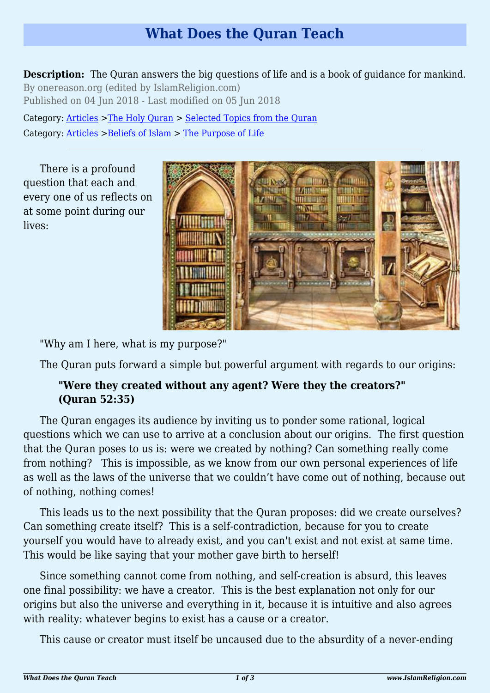# **What Does the Quran Teach**

**Description:** The Quran answers the big questions of life and is a book of guidance for mankind. By onereason.org (edited by IslamReligion.com) Published on 04 Jun 2018 - Last modified on 05 Jun 2018

Category: [Articles](http://www.islamreligion.com/articles/) >[The Holy Quran](http://www.islamreligion.com/category/75/) > [Selected Topics from the Quran](http://www.islamreligion.com/category/76/) Category: [Articles](http://www.islamreligion.com/articles/) >[Beliefs of Islam](http://www.islamreligion.com/category/48/) > [The Purpose of Life](http://www.islamreligion.com/category/52/)

There is a profound question that each and every one of us reflects on at some point during our lives:



"Why am I here, what is my purpose?"

The Quran puts forward a simple but powerful argument with regards to our origins:

# **"Were they created without any agent? Were they the creators?" (Quran 52:35)**

The Quran engages its audience by inviting us to ponder some rational, logical questions which we can use to arrive at a conclusion about our origins. The first question that the Quran poses to us is: were we created by nothing? Can something really come from nothing? This is impossible, as we know from our own personal experiences of life as well as the laws of the universe that we couldn't have come out of nothing, because out of nothing, nothing comes!

This leads us to the next possibility that the Quran proposes: did we create ourselves? Can something create itself? This is a self-contradiction, because for you to create yourself you would have to already exist, and you can't exist and not exist at same time. This would be like saying that your mother gave birth to herself!

Since something cannot come from nothing, and self-creation is absurd, this leaves one final possibility: we have a creator. This is the best explanation not only for our origins but also the universe and everything in it, because it is intuitive and also agrees with reality: whatever begins to exist has a cause or a creator.

This cause or creator must itself be uncaused due to the absurdity of a never-ending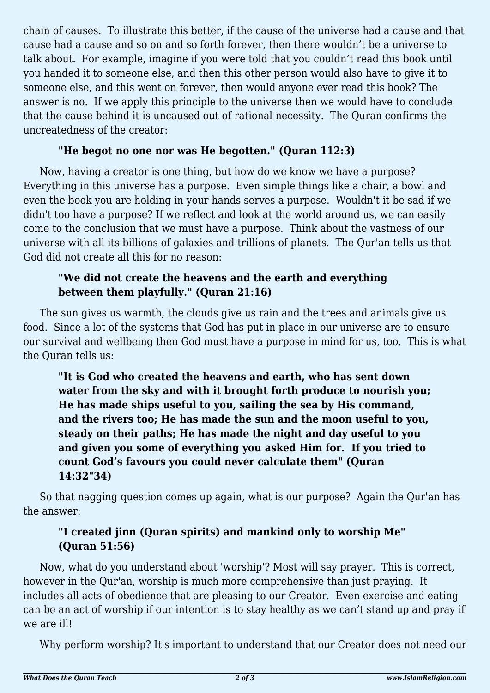chain of causes. To illustrate this better, if the cause of the universe had a cause and that cause had a cause and so on and so forth forever, then there wouldn't be a universe to talk about. For example, imagine if you were told that you couldn't read this book until you handed it to someone else, and then this other person would also have to give it to someone else, and this went on forever, then would anyone ever read this book? The answer is no. If we apply this principle to the universe then we would have to conclude that the cause behind it is uncaused out of rational necessity. The Quran confirms the uncreatedness of the creator:

## **"He begot no one nor was He begotten." (Quran 112:3)**

Now, having a creator is one thing, but how do we know we have a purpose? Everything in this universe has a purpose. Even simple things like a chair, a bowl and even the book you are holding in your hands serves a purpose. Wouldn't it be sad if we didn't too have a purpose? If we reflect and look at the world around us, we can easily come to the conclusion that we must have a purpose. Think about the vastness of our universe with all its billions of galaxies and trillions of planets. The Qur'an tells us that God did not create all this for no reason:

### **"We did not create the heavens and the earth and everything between them playfully." (Quran 21:16)**

The sun gives us warmth, the clouds give us rain and the trees and animals give us food. Since a lot of the systems that God has put in place in our universe are to ensure our survival and wellbeing then God must have a purpose in mind for us, too. This is what the Quran tells us:

**"It is God who created the heavens and earth, who has sent down water from the sky and with it brought forth produce to nourish you; He has made ships useful to you, sailing the sea by His command, and the rivers too; He has made the sun and the moon useful to you, steady on their paths; He has made the night and day useful to you and given you some of everything you asked Him for. If you tried to count God's favours you could never calculate them" (Quran 14:32"34)**

So that nagging question comes up again, what is our purpose? Again the Qur'an has the answer:

# **"I created jinn (Quran spirits) and mankind only to worship Me" (Quran 51:56)**

Now, what do you understand about 'worship'? Most will say prayer. This is correct, however in the Qur'an, worship is much more comprehensive than just praying. It includes all acts of obedience that are pleasing to our Creator. Even exercise and eating can be an act of worship if our intention is to stay healthy as we can't stand up and pray if we are ill!

Why perform worship? It's important to understand that our Creator does not need our